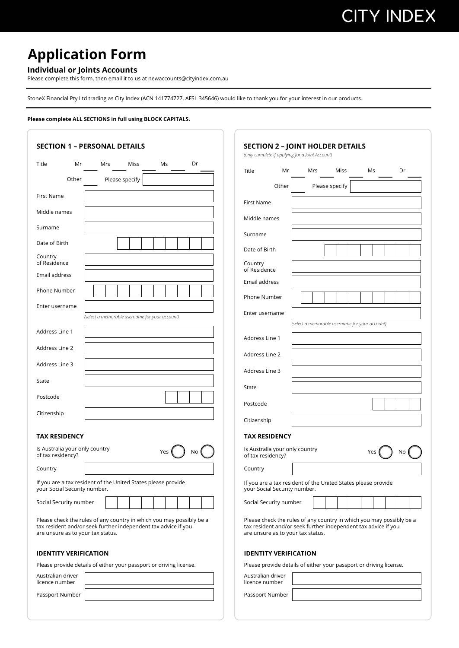# **CITY INDEX**

### **Application Form**

### **Individual or Joints Accounts**

Please complete this form, then email it to us at newaccounts@cityindex.com.au

StoneX Financial Pty Ltd trading as City Index (ACN 141774727, AFSL 345646) would like to thank you for your interest in our products.

#### **Please complete ALL SECTIONS in full using BLOCK CAPITALS.**

| <b>SECTION 1 - PERSONAL DETAILS</b>                                                                                                                                         | <b>SECTION 2 - JOINT HOLDER DETAILS</b>                                                                                                                                     |
|-----------------------------------------------------------------------------------------------------------------------------------------------------------------------------|-----------------------------------------------------------------------------------------------------------------------------------------------------------------------------|
| Dr<br>Miss<br>Ms<br>Title<br>Mr<br>Mrs                                                                                                                                      | (only complete if applying for a Joint Account)<br>Mr<br>Mrs<br>Miss<br>Ms<br>Dr<br>Title                                                                                   |
| Other<br>Please specify                                                                                                                                                     | Please specify<br>Other                                                                                                                                                     |
| First Name                                                                                                                                                                  |                                                                                                                                                                             |
| Middle names                                                                                                                                                                | First Name                                                                                                                                                                  |
| Surname                                                                                                                                                                     | Middle names                                                                                                                                                                |
| Date of Birth                                                                                                                                                               | Surname                                                                                                                                                                     |
| Country                                                                                                                                                                     | Date of Birth                                                                                                                                                               |
| of Residence                                                                                                                                                                | Country<br>of Residence                                                                                                                                                     |
| Email address                                                                                                                                                               | Email address                                                                                                                                                               |
| Phone Number                                                                                                                                                                | Phone Number                                                                                                                                                                |
| Enter username                                                                                                                                                              | Enter username                                                                                                                                                              |
| (select a memorable username for your account)                                                                                                                              | (select a memorable username for your account)                                                                                                                              |
| Address Line 1                                                                                                                                                              | Address Line 1                                                                                                                                                              |
| Address Line 2                                                                                                                                                              | Address Line 2                                                                                                                                                              |
| Address Line 3                                                                                                                                                              | Address Line 3                                                                                                                                                              |
| State                                                                                                                                                                       | State                                                                                                                                                                       |
| Postcode                                                                                                                                                                    |                                                                                                                                                                             |
| Citizenship                                                                                                                                                                 | Postcode                                                                                                                                                                    |
|                                                                                                                                                                             | Citizenship                                                                                                                                                                 |
| <b>TAX RESIDENCY</b>                                                                                                                                                        | <b>TAX RESIDENCY</b>                                                                                                                                                        |
| Is Australia your only country<br>No<br>Yes<br>of tax residency?                                                                                                            | Is Australia your only country<br>Yes<br>No<br>of tax residency?                                                                                                            |
| Country                                                                                                                                                                     | Country                                                                                                                                                                     |
| If you are a tax resident of the United States please provide<br>your Social Security number.                                                                               | If you are a tax resident of the United States please provide<br>your Social Security number.                                                                               |
| Social Security number                                                                                                                                                      | Social Security number                                                                                                                                                      |
| Please check the rules of any country in which you may possibly be a<br>tax resident and/or seek further independent tax advice if you<br>are unsure as to your tax status. | Please check the rules of any country in which you may possibly be a<br>tax resident and/or seek further independent tax advice if you<br>are unsure as to your tax status. |
| <b>IDENTITY VERIFICATION</b>                                                                                                                                                | <b>IDENTITY VERIFICATION</b>                                                                                                                                                |
| Please provide details of either your passport or driving license.                                                                                                          | Please provide details of either your passport or driving license.                                                                                                          |
| Australian driver<br>licence number                                                                                                                                         | Australian driver<br>licence number                                                                                                                                         |
| Passport Number                                                                                                                                                             | Passport Number                                                                                                                                                             |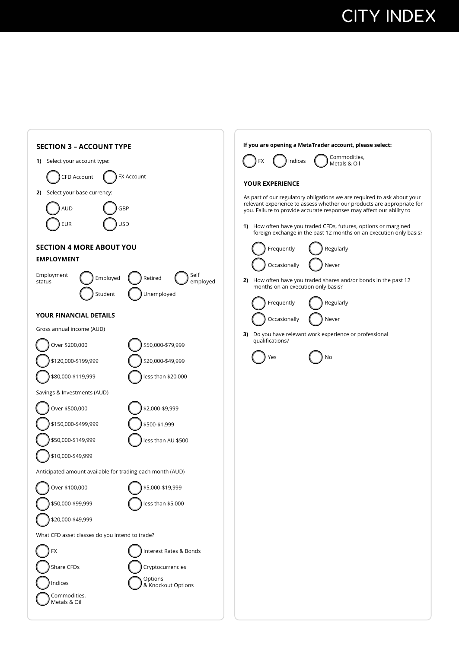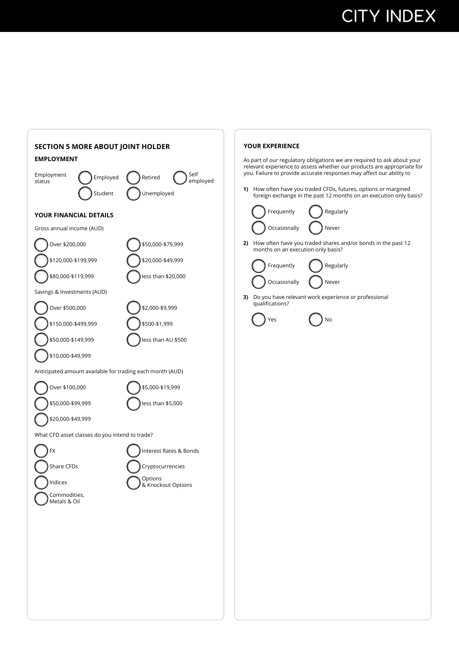